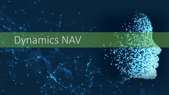# Dynamics NAV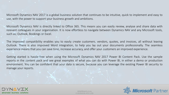Microsoft Dynamics NAV 2017 is a global business solution that continues to be intuitive, quick to implement and easy to use, with the power to support your business growth and ambitions.

Microsoft Dynamics NAV is directly linked to Office 365. This means you can easily review, analyse and share data with relevant colleagues in your organisation. It is now effortless to navigate between Dynamics NAV and any Microsoft tools, such as; Outlook, Bookings or Excel.

The improved compatibility enables you to easily create customers, vendors, quotes, and invoices, all without leaving Outlook. There is also improved Word integration, to help you lay out your documents professionally. The seamless experience means that you can save time, increase accuracy, and offer your customers an improved experience.

Getting started is hassle-free when using the Microsoft Dynamics NAV 2017 Power BI Content Pack. Use the sample reports in the content pack and see great examples of what you can do with Power BI, in either a demo or production environment. You can be confident that your data is secure, because you can leverage the existing Power BI security to manage your reports.



info@dynavix.co.za © DYNAVIX PTY LTD